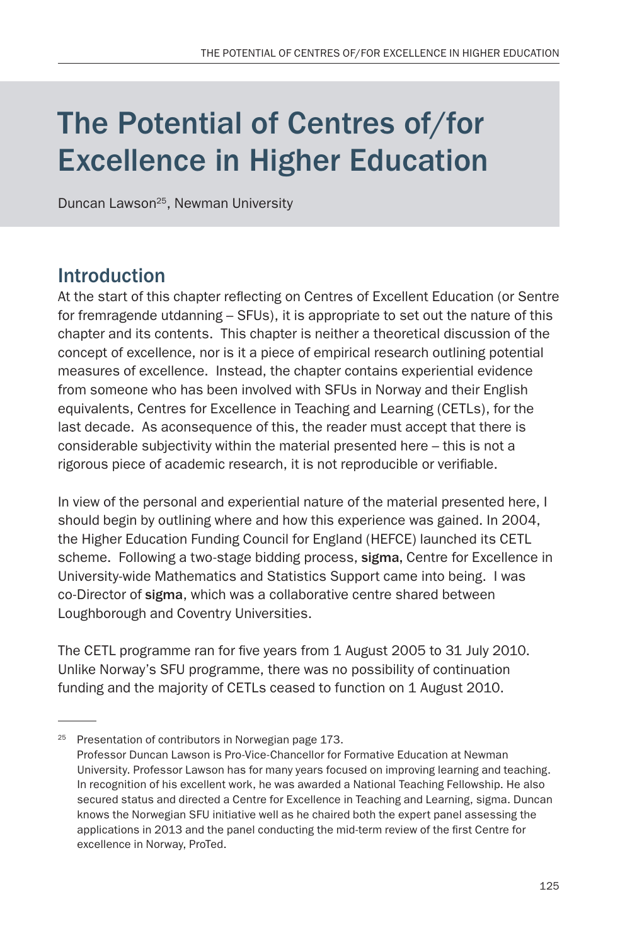# The Potential of Centres of/for Excellence in Higher Education

Duncan Lawson<sup>25</sup>, Newman University

## Introduction

At the start of this chapter reflecting on Centres of Excellent Education (or Sentre for fremragende utdanning – SFUs), it is appropriate to set out the nature of this chapter and its contents. This chapter is neither a theoretical discussion of the concept of excellence, nor is it a piece of empirical research outlining potential measures of excellence. Instead, the chapter contains experiential evidence from someone who has been involved with SFUs in Norway and their English equivalents, Centres for Excellence in Teaching and Learning (CETLs), for the last decade. As aconsequence of this, the reader must accept that there is considerable subjectivity within the material presented here – this is not a rigorous piece of academic research, it is not reproducible or verifiable.

In view of the personal and experiential nature of the material presented here, I should begin by outlining where and how this experience was gained. In 2004, the Higher Education Funding Council for England (HEFCE) launched its CETL scheme. Following a two-stage bidding process, sigma, Centre for Excellence in University-wide Mathematics and Statistics Support came into being. I was co-Director of sigma, which was a collaborative centre shared between Loughborough and Coventry Universities.

The CETL programme ran for five years from 1 August 2005 to 31 July 2010. Unlike Norway's SFU programme, there was no possibility of continuation funding and the majority of CETLs ceased to function on 1 August 2010.

<sup>&</sup>lt;sup>25</sup> Presentation of contributors in Norwegian page 173. Professor Duncan Lawson is Pro-Vice-Chancellor for Formative Education at Newman University. Professor Lawson has for many years focused on improving learning and teaching. In recognition of his excellent work, he was awarded a National Teaching Fellowship. He also secured status and directed a Centre for Excellence in Teaching and Learning, sigma. Duncan knows the Norwegian SFU initiative well as he chaired both the expert panel assessing the applications in 2013 and the panel conducting the mid-term review of the first Centre for excellence in Norway, ProTed.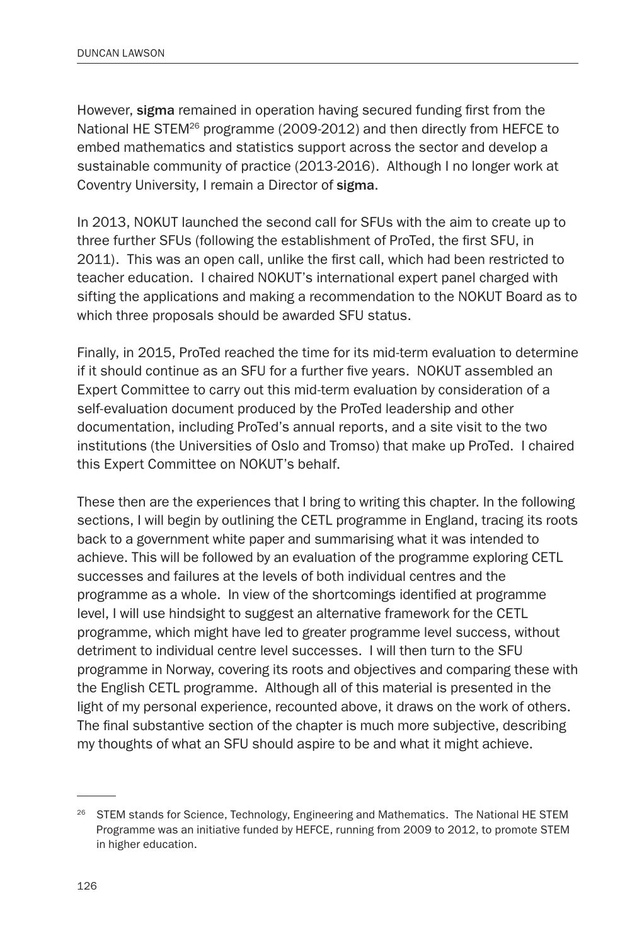However, sigma remained in operation having secured funding first from the National HE STEM<sup>26</sup> programme (2009-2012) and then directly from HEFCE to embed mathematics and statistics support across the sector and develop a sustainable community of practice (2013-2016). Although I no longer work at Coventry University, I remain a Director of sigma.

In 2013, NOKUT launched the second call for SFUs with the aim to create up to three further SFUs (following the establishment of ProTed, the first SFU, in 2011). This was an open call, unlike the first call, which had been restricted to teacher education. I chaired NOKUT's international expert panel charged with sifting the applications and making a recommendation to the NOKUT Board as to which three proposals should be awarded SFU status.

Finally, in 2015, ProTed reached the time for its mid-term evaluation to determine if it should continue as an SFU for a further five years. NOKUT assembled an Expert Committee to carry out this mid-term evaluation by consideration of a self-evaluation document produced by the ProTed leadership and other documentation, including ProTed's annual reports, and a site visit to the two institutions (the Universities of Oslo and Tromso) that make up ProTed. I chaired this Expert Committee on NOKUT's behalf.

These then are the experiences that I bring to writing this chapter. In the following sections, I will begin by outlining the CETL programme in England, tracing its roots back to a government white paper and summarising what it was intended to achieve. This will be followed by an evaluation of the programme exploring CETL successes and failures at the levels of both individual centres and the programme as a whole. In view of the shortcomings identified at programme level, I will use hindsight to suggest an alternative framework for the CETL programme, which might have led to greater programme level success, without detriment to individual centre level successes. I will then turn to the SFU programme in Norway, covering its roots and objectives and comparing these with the English CETL programme. Although all of this material is presented in the light of my personal experience, recounted above, it draws on the work of others. The final substantive section of the chapter is much more subjective, describing my thoughts of what an SFU should aspire to be and what it might achieve.

<sup>&</sup>lt;sup>26</sup> STEM stands for Science, Technology, Engineering and Mathematics. The National HE STEM Programme was an initiative funded by HEFCE, running from 2009 to 2012, to promote STEM in higher education.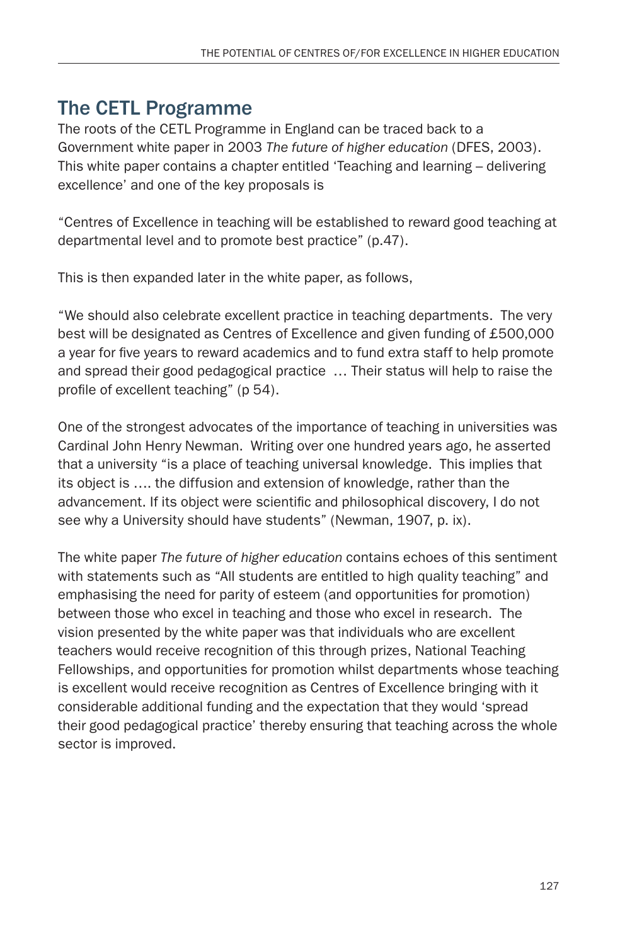# The CETL Programme

The roots of the CETL Programme in England can be traced back to a Government white paper in 2003 *The future of higher education* (DFES, 2003). This white paper contains a chapter entitled 'Teaching and learning – delivering excellence' and one of the key proposals is

"Centres of Excellence in teaching will be established to reward good teaching at departmental level and to promote best practice" (p.47).

This is then expanded later in the white paper, as follows,

"We should also celebrate excellent practice in teaching departments. The very best will be designated as Centres of Excellence and given funding of £500,000 a year for five years to reward academics and to fund extra staff to help promote and spread their good pedagogical practice … Their status will help to raise the profile of excellent teaching" (p 54).

One of the strongest advocates of the importance of teaching in universities was Cardinal John Henry Newman. Writing over one hundred years ago, he asserted that a university "is a place of teaching universal knowledge. This implies that its object is …. the diffusion and extension of knowledge, rather than the advancement. If its object were scientific and philosophical discovery, I do not see why a University should have students" (Newman, 1907, p. ix).

The white paper *The future of higher education* contains echoes of this sentiment with statements such as "All students are entitled to high quality teaching" and emphasising the need for parity of esteem (and opportunities for promotion) between those who excel in teaching and those who excel in research. The vision presented by the white paper was that individuals who are excellent teachers would receive recognition of this through prizes, National Teaching Fellowships, and opportunities for promotion whilst departments whose teaching is excellent would receive recognition as Centres of Excellence bringing with it considerable additional funding and the expectation that they would 'spread their good pedagogical practice' thereby ensuring that teaching across the whole sector is improved.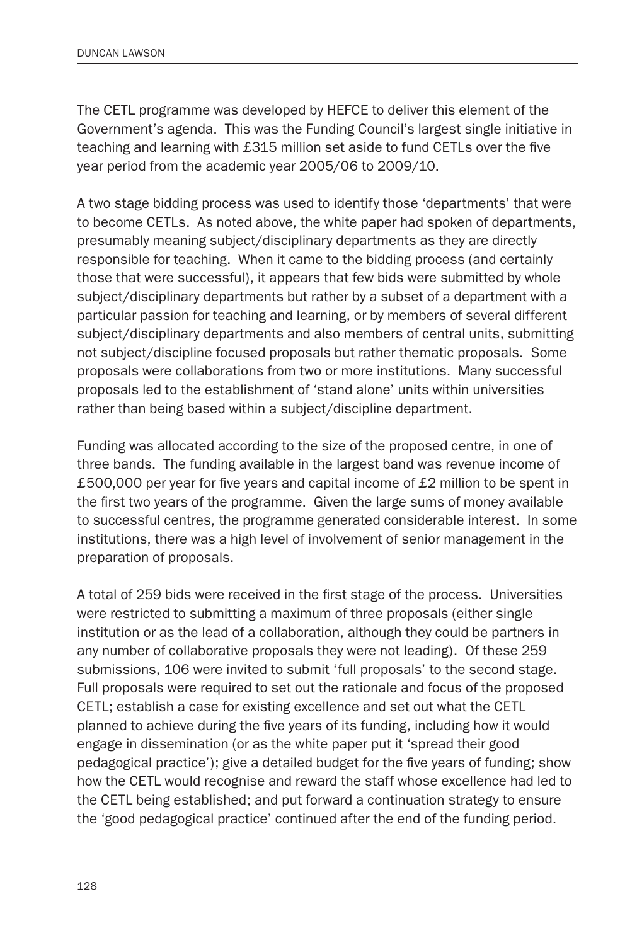The CETL programme was developed by HEFCE to deliver this element of the Government's agenda. This was the Funding Council's largest single initiative in teaching and learning with £315 million set aside to fund CETLs over the five year period from the academic year 2005/06 to 2009/10.

A two stage bidding process was used to identify those 'departments' that were to become CETLs. As noted above, the white paper had spoken of departments, presumably meaning subject/disciplinary departments as they are directly responsible for teaching. When it came to the bidding process (and certainly those that were successful), it appears that few bids were submitted by whole subject/disciplinary departments but rather by a subset of a department with a particular passion for teaching and learning, or by members of several different subject/disciplinary departments and also members of central units, submitting not subject/discipline focused proposals but rather thematic proposals. Some proposals were collaborations from two or more institutions. Many successful proposals led to the establishment of 'stand alone' units within universities rather than being based within a subject/discipline department.

Funding was allocated according to the size of the proposed centre, in one of three bands. The funding available in the largest band was revenue income of £500,000 per year for five years and capital income of £2 million to be spent in the first two years of the programme. Given the large sums of money available to successful centres, the programme generated considerable interest. In some institutions, there was a high level of involvement of senior management in the preparation of proposals.

A total of 259 bids were received in the first stage of the process. Universities were restricted to submitting a maximum of three proposals (either single institution or as the lead of a collaboration, although they could be partners in any number of collaborative proposals they were not leading). Of these 259 submissions, 106 were invited to submit 'full proposals' to the second stage. Full proposals were required to set out the rationale and focus of the proposed CETL; establish a case for existing excellence and set out what the CETL planned to achieve during the five years of its funding, including how it would engage in dissemination (or as the white paper put it 'spread their good pedagogical practice'); give a detailed budget for the five years of funding; show how the CETL would recognise and reward the staff whose excellence had led to the CETL being established; and put forward a continuation strategy to ensure the 'good pedagogical practice' continued after the end of the funding period.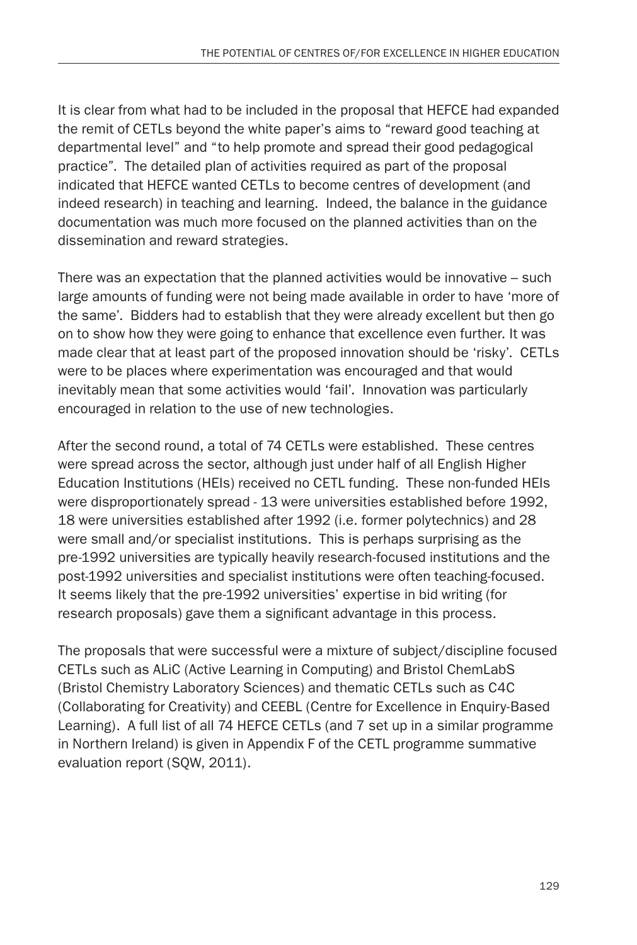It is clear from what had to be included in the proposal that HEFCE had expanded the remit of CETLs beyond the white paper's aims to "reward good teaching at departmental level" and "to help promote and spread their good pedagogical practice". The detailed plan of activities required as part of the proposal indicated that HEFCE wanted CETLs to become centres of development (and indeed research) in teaching and learning. Indeed, the balance in the guidance documentation was much more focused on the planned activities than on the dissemination and reward strategies.

There was an expectation that the planned activities would be innovative – such large amounts of funding were not being made available in order to have 'more of the same'. Bidders had to establish that they were already excellent but then go on to show how they were going to enhance that excellence even further. It was made clear that at least part of the proposed innovation should be 'risky'. CETLs were to be places where experimentation was encouraged and that would inevitably mean that some activities would 'fail'. Innovation was particularly encouraged in relation to the use of new technologies.

After the second round, a total of 74 CETLs were established. These centres were spread across the sector, although just under half of all English Higher Education Institutions (HEIs) received no CETL funding. These non-funded HEIs were disproportionately spread - 13 were universities established before 1992, 18 were universities established after 1992 (i.e. former polytechnics) and 28 were small and/or specialist institutions. This is perhaps surprising as the pre-1992 universities are typically heavily research-focused institutions and the post-1992 universities and specialist institutions were often teaching-focused. It seems likely that the pre-1992 universities' expertise in bid writing (for research proposals) gave them a significant advantage in this process.

The proposals that were successful were a mixture of subject/discipline focused CETLs such as ALiC (Active Learning in Computing) and Bristol ChemLabS (Bristol Chemistry Laboratory Sciences) and thematic CETLs such as C4C (Collaborating for Creativity) and CEEBL (Centre for Excellence in Enquiry-Based Learning). A full list of all 74 HEFCE CETLs (and 7 set up in a similar programme in Northern Ireland) is given in Appendix F of the CETL programme summative evaluation report (SQW, 2011).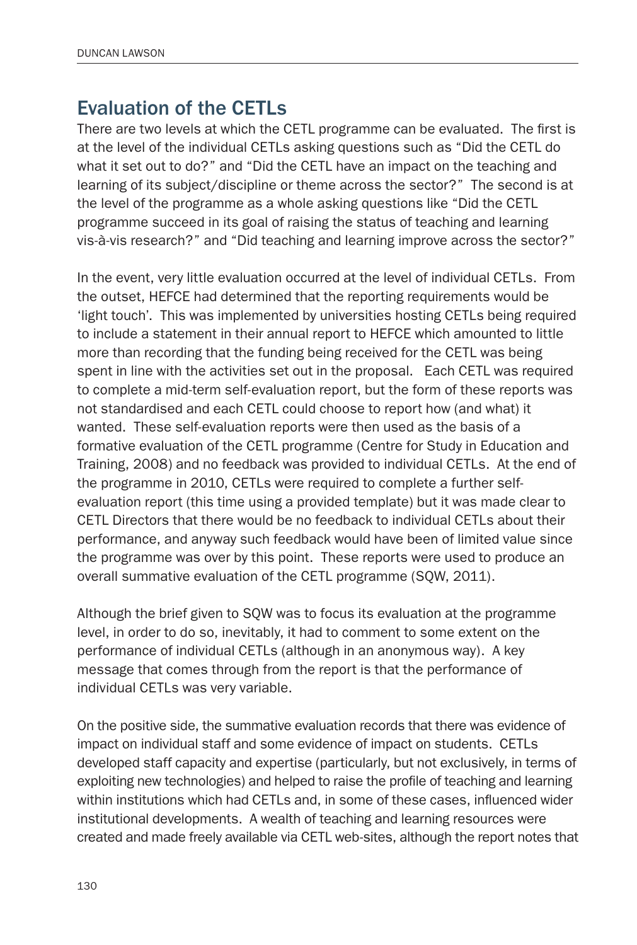## Evaluation of the CETLs

There are two levels at which the CETL programme can be evaluated. The first is at the level of the individual CETLs asking questions such as "Did the CETL do what it set out to do?" and "Did the CETL have an impact on the teaching and learning of its subject/discipline or theme across the sector?" The second is at the level of the programme as a whole asking questions like "Did the CETL programme succeed in its goal of raising the status of teaching and learning vis-à-vis research?" and "Did teaching and learning improve across the sector?"

In the event, very little evaluation occurred at the level of individual CETLs. From the outset, HEFCE had determined that the reporting requirements would be 'light touch'. This was implemented by universities hosting CETLs being required to include a statement in their annual report to HEFCE which amounted to little more than recording that the funding being received for the CETL was being spent in line with the activities set out in the proposal. Each CETL was required to complete a mid-term self-evaluation report, but the form of these reports was not standardised and each CETL could choose to report how (and what) it wanted. These self-evaluation reports were then used as the basis of a formative evaluation of the CETL programme (Centre for Study in Education and Training, 2008) and no feedback was provided to individual CETLs. At the end of the programme in 2010, CETLs were required to complete a further selfevaluation report (this time using a provided template) but it was made clear to CETL Directors that there would be no feedback to individual CETLs about their performance, and anyway such feedback would have been of limited value since the programme was over by this point. These reports were used to produce an overall summative evaluation of the CETL programme (SQW, 2011).

Although the brief given to SQW was to focus its evaluation at the programme level, in order to do so, inevitably, it had to comment to some extent on the performance of individual CETLs (although in an anonymous way). A key message that comes through from the report is that the performance of individual CETLs was very variable.

On the positive side, the summative evaluation records that there was evidence of impact on individual staff and some evidence of impact on students. CETLs developed staff capacity and expertise (particularly, but not exclusively, in terms of exploiting new technologies) and helped to raise the profile of teaching and learning within institutions which had CETLs and, in some of these cases, influenced wider institutional developments. A wealth of teaching and learning resources were created and made freely available via CETL web-sites, although the report notes that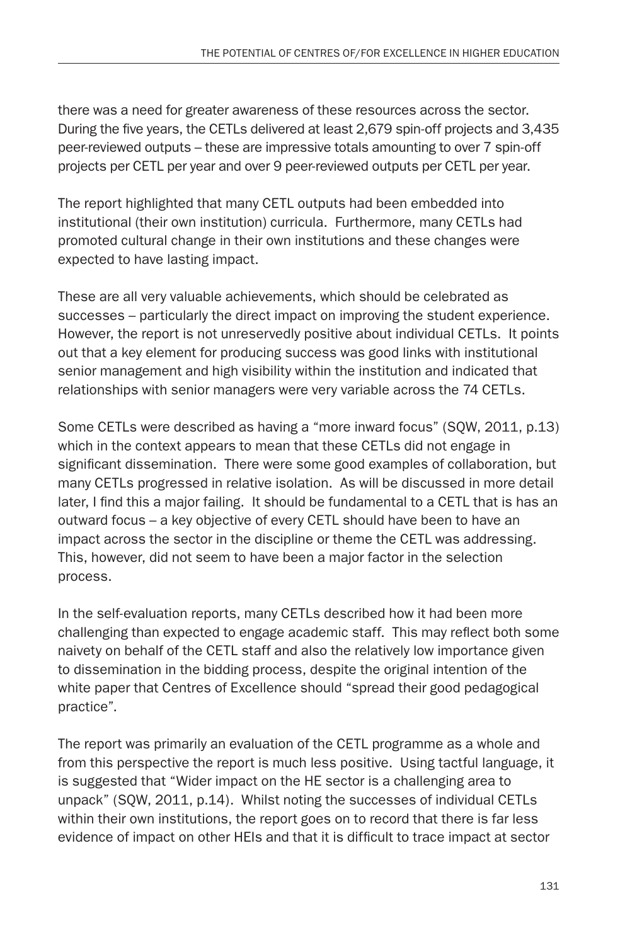there was a need for greater awareness of these resources across the sector. During the five years, the CETLs delivered at least 2,679 spin-off projects and 3,435 peer-reviewed outputs – these are impressive totals amounting to over 7 spin-off projects per CETL per year and over 9 peer-reviewed outputs per CETL per year.

The report highlighted that many CETL outputs had been embedded into institutional (their own institution) curricula. Furthermore, many CETLs had promoted cultural change in their own institutions and these changes were expected to have lasting impact.

These are all very valuable achievements, which should be celebrated as successes – particularly the direct impact on improving the student experience. However, the report is not unreservedly positive about individual CETLs. It points out that a key element for producing success was good links with institutional senior management and high visibility within the institution and indicated that relationships with senior managers were very variable across the 74 CETLs.

Some CETLs were described as having a "more inward focus" (SQW, 2011, p.13) which in the context appears to mean that these CETLs did not engage in significant dissemination. There were some good examples of collaboration, but many CETLs progressed in relative isolation. As will be discussed in more detail later, I find this a major failing. It should be fundamental to a CETL that is has an outward focus – a key objective of every CETL should have been to have an impact across the sector in the discipline or theme the CETL was addressing. This, however, did not seem to have been a major factor in the selection process.

In the self-evaluation reports, many CETLs described how it had been more challenging than expected to engage academic staff. This may reflect both some naivety on behalf of the CETL staff and also the relatively low importance given to dissemination in the bidding process, despite the original intention of the white paper that Centres of Excellence should "spread their good pedagogical practice".

The report was primarily an evaluation of the CETL programme as a whole and from this perspective the report is much less positive. Using tactful language, it is suggested that "Wider impact on the HE sector is a challenging area to unpack" (SQW, 2011, p.14). Whilst noting the successes of individual CETLs within their own institutions, the report goes on to record that there is far less evidence of impact on other HEIs and that it is difficult to trace impact at sector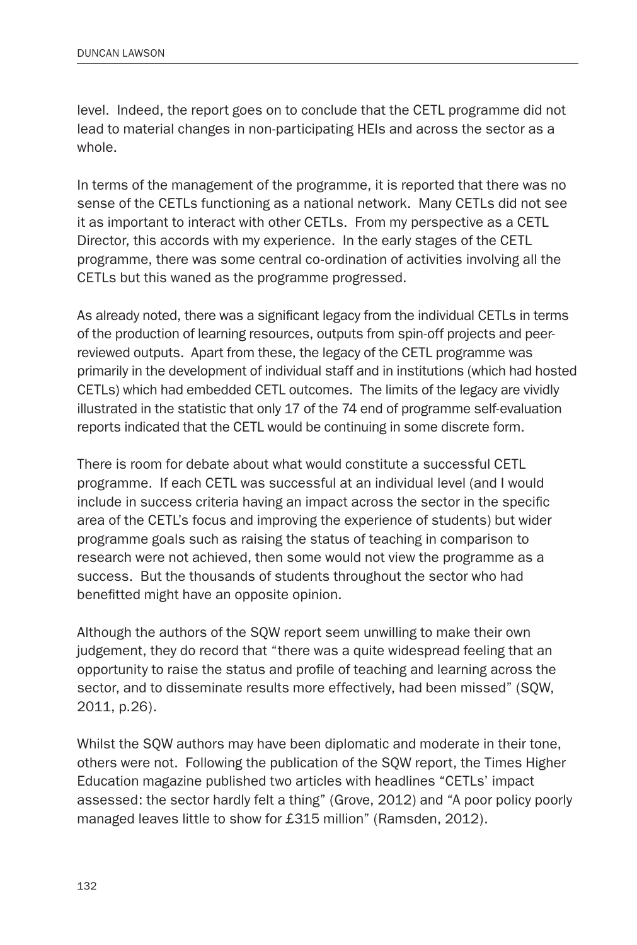level. Indeed, the report goes on to conclude that the CETL programme did not lead to material changes in non-participating HEIs and across the sector as a whole.

In terms of the management of the programme, it is reported that there was no sense of the CETLs functioning as a national network. Many CETLs did not see it as important to interact with other CETLs. From my perspective as a CETL Director, this accords with my experience. In the early stages of the CETL programme, there was some central co-ordination of activities involving all the CETLs but this waned as the programme progressed.

As already noted, there was a significant legacy from the individual CETLs in terms of the production of learning resources, outputs from spin-off projects and peerreviewed outputs. Apart from these, the legacy of the CETL programme was primarily in the development of individual staff and in institutions (which had hosted CETLs) which had embedded CETL outcomes. The limits of the legacy are vividly illustrated in the statistic that only 17 of the 74 end of programme self-evaluation reports indicated that the CETL would be continuing in some discrete form.

There is room for debate about what would constitute a successful CETL programme. If each CETL was successful at an individual level (and I would include in success criteria having an impact across the sector in the specific area of the CETL's focus and improving the experience of students) but wider programme goals such as raising the status of teaching in comparison to research were not achieved, then some would not view the programme as a success. But the thousands of students throughout the sector who had benefitted might have an opposite opinion.

Although the authors of the SQW report seem unwilling to make their own judgement, they do record that "there was a quite widespread feeling that an opportunity to raise the status and profile of teaching and learning across the sector, and to disseminate results more effectively, had been missed" (SQW, 2011, p.26).

Whilst the SQW authors may have been diplomatic and moderate in their tone, others were not. Following the publication of the SQW report, the Times Higher Education magazine published two articles with headlines "CETLs' impact assessed: the sector hardly felt a thing" (Grove, 2012) and "A poor policy poorly managed leaves little to show for £315 million" (Ramsden, 2012).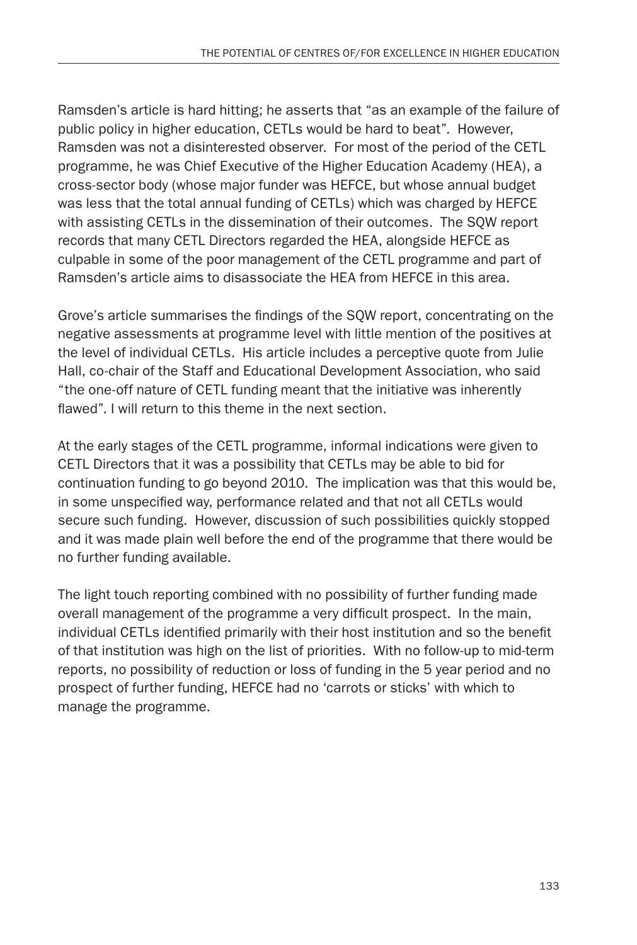Ramsden's article is hard hitting; he asserts that "as an example of the failure of public policy in higher education, CETLs would be hard to beat". However, Ramsden was not a disinterested observer. For most of the period of the CETL programme, he was Chief Executive of the Higher Education Academy (HEA), a cross-sector body (whose major funder was HEFCE, but whose annual budget was less that the total annual funding of CETLs) which was charged by HEFCE with assisting CETLs in the dissemination of their outcomes. The SQW report records that many CETL Directors regarded the HEA, alongside HEFCE as culpable in some of the poor management of the CETL programme and part of Ramsden's article aims to disassociate the HEA from HEFCE in this area.

Grove's article summarises the findings of the SQW report, concentrating on the negative assessments at programme level with little mention of the positives at the level of individual CETLs. His article includes a perceptive quote from Julie Hall, co-chair of the Staff and Educational Development Association, who said "the one-off nature of CETL funding meant that the initiative was inherently flawed". I will return to this theme in the next section.

At the early stages of the CETL programme, informal indications were given to CETL Directors that it was a possibility that CETLs may be able to bid for continuation funding to go beyond 2010. The implication was that this would be, in some unspecified way, performance related and that not all CETLs would secure such funding. However, discussion of such possibilities quickly stopped and it was made plain well before the end of the programme that there would be no further funding available.

The light touch reporting combined with no possibility of further funding made overall management of the programme a very difficult prospect. In the main, individual CETLs identified primarily with their host institution and so the benefit of that institution was high on the list of priorities. With no follow-up to mid-term reports, no possibility of reduction or loss of funding in the 5 year period and no prospect of further funding, HEFCE had no 'carrots or sticks' with which to manage the programme.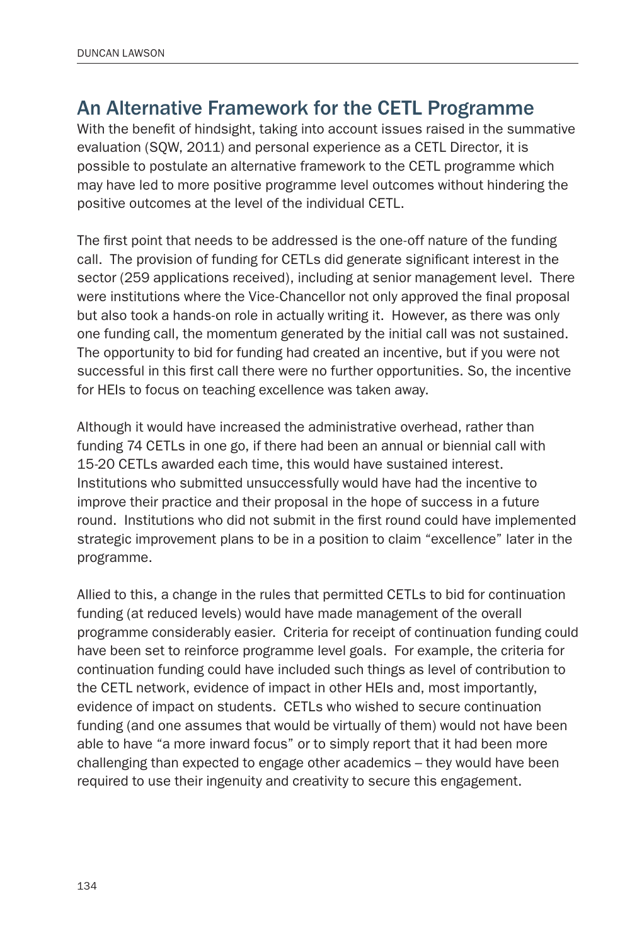#### An Alternative Framework for the CETL Programme

With the benefit of hindsight, taking into account issues raised in the summative evaluation (SQW, 2011) and personal experience as a CETL Director, it is possible to postulate an alternative framework to the CETL programme which may have led to more positive programme level outcomes without hindering the positive outcomes at the level of the individual CETL.

The first point that needs to be addressed is the one-off nature of the funding call. The provision of funding for CETLs did generate significant interest in the sector (259 applications received), including at senior management level. There were institutions where the Vice-Chancellor not only approved the final proposal but also took a hands-on role in actually writing it. However, as there was only one funding call, the momentum generated by the initial call was not sustained. The opportunity to bid for funding had created an incentive, but if you were not successful in this first call there were no further opportunities. So, the incentive for HEIs to focus on teaching excellence was taken away.

Although it would have increased the administrative overhead, rather than funding 74 CETLs in one go, if there had been an annual or biennial call with 15-20 CETLs awarded each time, this would have sustained interest. Institutions who submitted unsuccessfully would have had the incentive to improve their practice and their proposal in the hope of success in a future round. Institutions who did not submit in the first round could have implemented strategic improvement plans to be in a position to claim "excellence" later in the programme.

Allied to this, a change in the rules that permitted CETLs to bid for continuation funding (at reduced levels) would have made management of the overall programme considerably easier. Criteria for receipt of continuation funding could have been set to reinforce programme level goals. For example, the criteria for continuation funding could have included such things as level of contribution to the CETL network, evidence of impact in other HEIs and, most importantly, evidence of impact on students. CETLs who wished to secure continuation funding (and one assumes that would be virtually of them) would not have been able to have "a more inward focus" or to simply report that it had been more challenging than expected to engage other academics – they would have been required to use their ingenuity and creativity to secure this engagement.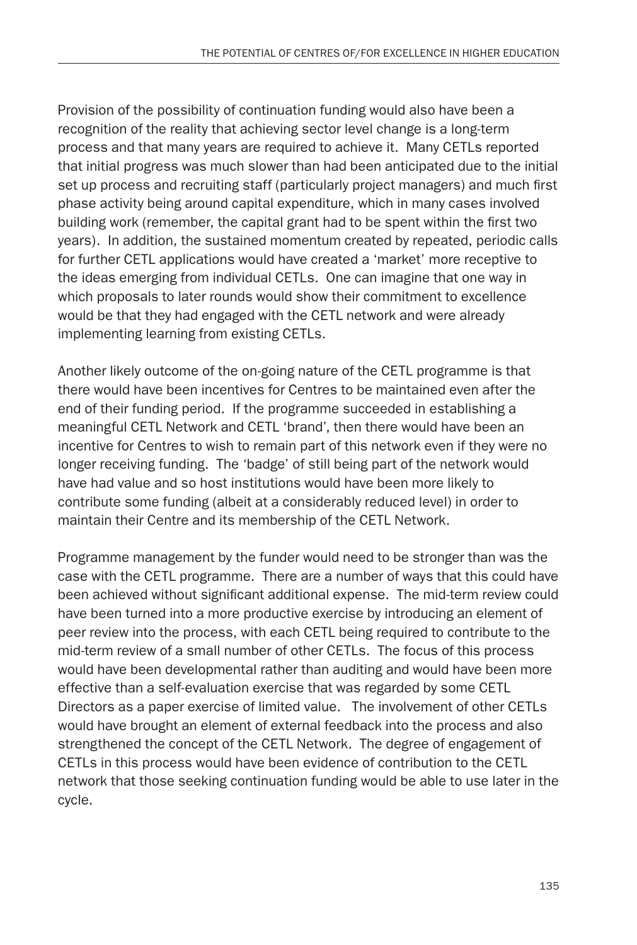Provision of the possibility of continuation funding would also have been a recognition of the reality that achieving sector level change is a long-term process and that many years are required to achieve it. Many CETLs reported that initial progress was much slower than had been anticipated due to the initial set up process and recruiting staff (particularly project managers) and much first phase activity being around capital expenditure, which in many cases involved building work (remember, the capital grant had to be spent within the first two years). In addition, the sustained momentum created by repeated, periodic calls for further CETL applications would have created a 'market' more receptive to the ideas emerging from individual CETLs. One can imagine that one way in which proposals to later rounds would show their commitment to excellence would be that they had engaged with the CETL network and were already implementing learning from existing CETLs.

Another likely outcome of the on-going nature of the CETL programme is that there would have been incentives for Centres to be maintained even after the end of their funding period. If the programme succeeded in establishing a meaningful CETL Network and CETL 'brand', then there would have been an incentive for Centres to wish to remain part of this network even if they were no longer receiving funding. The 'badge' of still being part of the network would have had value and so host institutions would have been more likely to contribute some funding (albeit at a considerably reduced level) in order to maintain their Centre and its membership of the CETL Network.

Programme management by the funder would need to be stronger than was the case with the CETL programme. There are a number of ways that this could have been achieved without significant additional expense. The mid-term review could have been turned into a more productive exercise by introducing an element of peer review into the process, with each CETL being required to contribute to the mid-term review of a small number of other CETLs. The focus of this process would have been developmental rather than auditing and would have been more effective than a self-evaluation exercise that was regarded by some CETL Directors as a paper exercise of limited value. The involvement of other CETLs would have brought an element of external feedback into the process and also strengthened the concept of the CETL Network. The degree of engagement of CETLs in this process would have been evidence of contribution to the CETL network that those seeking continuation funding would be able to use later in the cycle.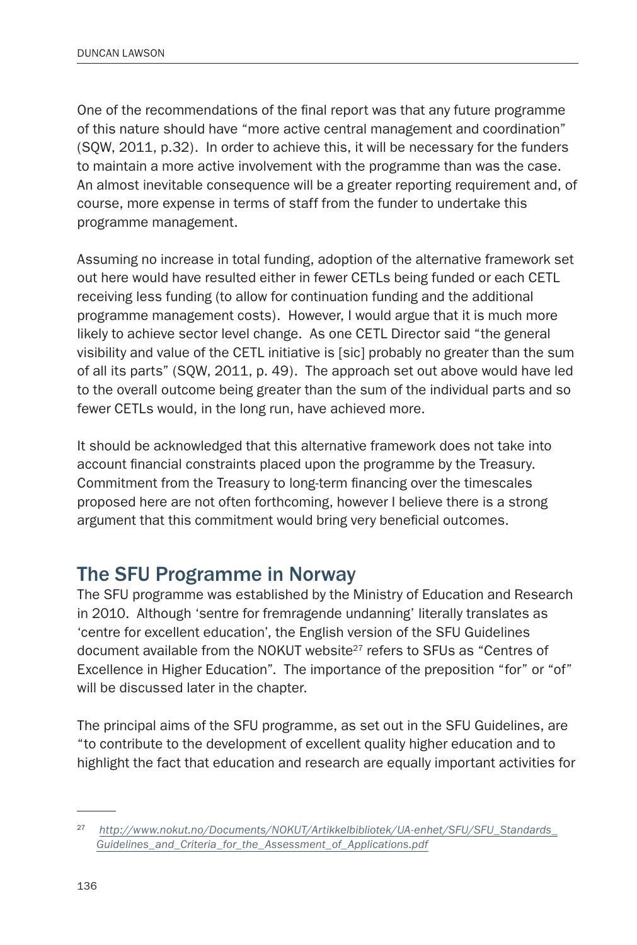One of the recommendations of the final report was that any future programme of this nature should have "more active central management and coordination" (SQW, 2011, p.32). In order to achieve this, it will be necessary for the funders to maintain a more active involvement with the programme than was the case. An almost inevitable consequence will be a greater reporting requirement and, of course, more expense in terms of staff from the funder to undertake this programme management.

Assuming no increase in total funding, adoption of the alternative framework set out here would have resulted either in fewer CETLs being funded or each CETL receiving less funding (to allow for continuation funding and the additional programme management costs). However, I would argue that it is much more likely to achieve sector level change. As one CETL Director said "the general visibility and value of the CETL initiative is [sic] probably no greater than the sum of all its parts" (SQW, 2011, p. 49). The approach set out above would have led to the overall outcome being greater than the sum of the individual parts and so fewer CETLs would, in the long run, have achieved more.

It should be acknowledged that this alternative framework does not take into account financial constraints placed upon the programme by the Treasury. Commitment from the Treasury to long-term financing over the timescales proposed here are not often forthcoming, however I believe there is a strong argument that this commitment would bring very beneficial outcomes.

## The SFU Programme in Norway

The SFU programme was established by the Ministry of Education and Research in 2010. Although 'sentre for fremragende undanning' literally translates as 'centre for excellent education', the English version of the SFU Guidelines document available from the NOKUT website<sup>27</sup> refers to SFUs as "Centres of Excellence in Higher Education". The importance of the preposition "for" or "of" will be discussed later in the chapter.

The principal aims of the SFU programme, as set out in the SFU Guidelines, are "to contribute to the development of excellent quality higher education and to highlight the fact that education and research are equally important activities for

<sup>27</sup> *[http://www.nokut.no/Documents/NOKUT/Artikkelbibliotek/UA-enhet/SFU/SFU\\_Standards\\_](http://www.nokut.no/Documents/NOKUT/Artikkelbibliotek/UA-enhet/SFU/SFU_Standards_Guidelines_and_Criteria_for_the_Assessment_of_Applications.pdf) [Guidelines\\_and\\_Criteria\\_for\\_the\\_Assessment\\_of\\_Applications.pdf](http://www.nokut.no/Documents/NOKUT/Artikkelbibliotek/UA-enhet/SFU/SFU_Standards_Guidelines_and_Criteria_for_the_Assessment_of_Applications.pdf)*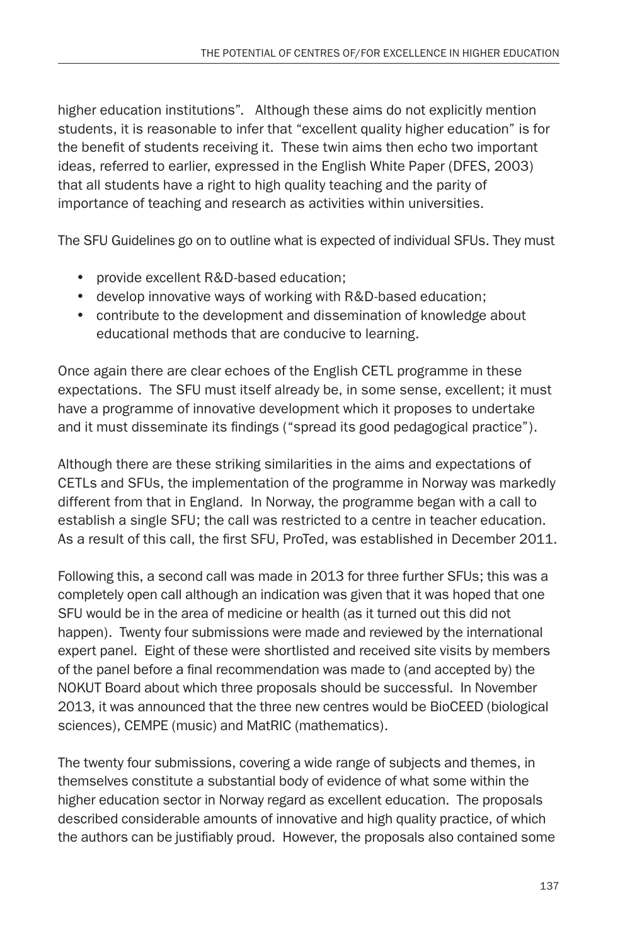higher education institutions". Although these aims do not explicitly mention students, it is reasonable to infer that "excellent quality higher education" is for the benefit of students receiving it. These twin aims then echo two important ideas, referred to earlier, expressed in the English White Paper (DFES, 2003) that all students have a right to high quality teaching and the parity of importance of teaching and research as activities within universities.

The SFU Guidelines go on to outline what is expected of individual SFUs. They must

- provide excellent R&D-based education;
- develop innovative ways of working with R&D-based education;
- contribute to the development and dissemination of knowledge about educational methods that are conducive to learning.

Once again there are clear echoes of the English CETL programme in these expectations. The SFU must itself already be, in some sense, excellent; it must have a programme of innovative development which it proposes to undertake and it must disseminate its findings ("spread its good pedagogical practice").

Although there are these striking similarities in the aims and expectations of CETLs and SFUs, the implementation of the programme in Norway was markedly different from that in England. In Norway, the programme began with a call to establish a single SFU; the call was restricted to a centre in teacher education. As a result of this call, the first SFU, ProTed, was established in December 2011.

Following this, a second call was made in 2013 for three further SFUs; this was a completely open call although an indication was given that it was hoped that one SFU would be in the area of medicine or health (as it turned out this did not happen). Twenty four submissions were made and reviewed by the international expert panel. Eight of these were shortlisted and received site visits by members of the panel before a final recommendation was made to (and accepted by) the NOKUT Board about which three proposals should be successful. In November 2013, it was announced that the three new centres would be BioCEED (biological sciences), CEMPE (music) and MatRIC (mathematics).

The twenty four submissions, covering a wide range of subjects and themes, in themselves constitute a substantial body of evidence of what some within the higher education sector in Norway regard as excellent education. The proposals described considerable amounts of innovative and high quality practice, of which the authors can be justifiably proud. However, the proposals also contained some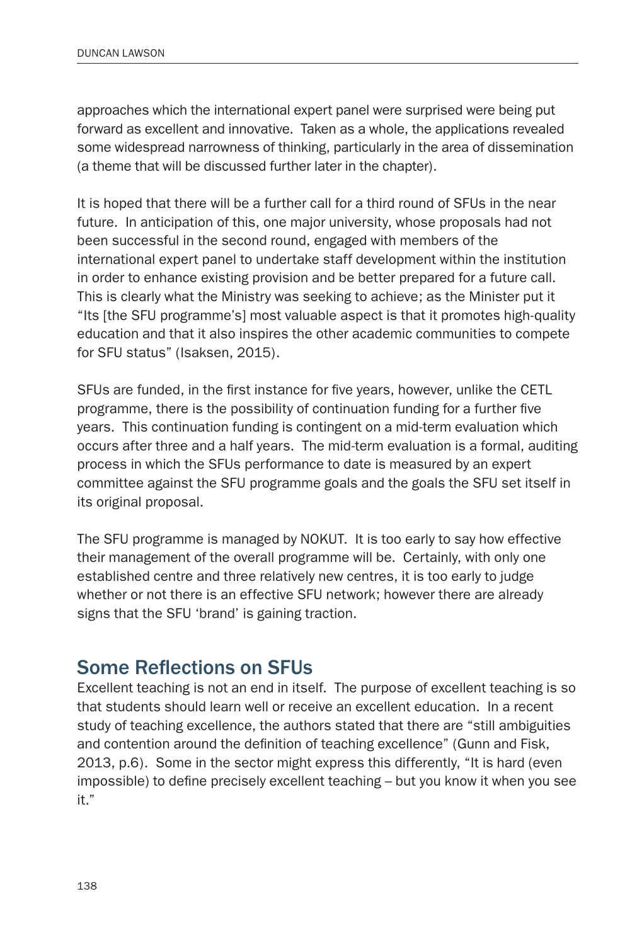approaches which the international expert panel were surprised were being put forward as excellent and innovative. Taken as a whole, the applications revealed some widespread narrowness of thinking, particularly in the area of dissemination (a theme that will be discussed further later in the chapter).

It is hoped that there will be a further call for a third round of SFUs in the near future. In anticipation of this, one major university, whose proposals had not been successful in the second round, engaged with members of the international expert panel to undertake staff development within the institution in order to enhance existing provision and be better prepared for a future call. This is clearly what the Ministry was seeking to achieve; as the Minister put it "Its [the SFU programme's] most valuable aspect is that it promotes high-quality education and that it also inspires the other academic communities to compete for SFU status" (Isaksen, 2015).

SFUs are funded, in the first instance for five years, however, unlike the CETL programme, there is the possibility of continuation funding for a further five years. This continuation funding is contingent on a mid-term evaluation which occurs after three and a half years. The mid-term evaluation is a formal, auditing process in which the SFUs performance to date is measured by an expert committee against the SFU programme goals and the goals the SFU set itself in its original proposal.

The SFU programme is managed by NOKUT. It is too early to say how effective their management of the overall programme will be. Certainly, with only one established centre and three relatively new centres, it is too early to judge whether or not there is an effective SFU network; however there are already signs that the SFU 'brand' is gaining traction.

#### Some Reflections on SFUs

Excellent teaching is not an end in itself. The purpose of excellent teaching is so that students should learn well or receive an excellent education. In a recent study of teaching excellence, the authors stated that there are "still ambiguities and contention around the definition of teaching excellence" (Gunn and Fisk, 2013, p.6). Some in the sector might express this differently, "It is hard (even impossible) to define precisely excellent teaching – but you know it when you see it."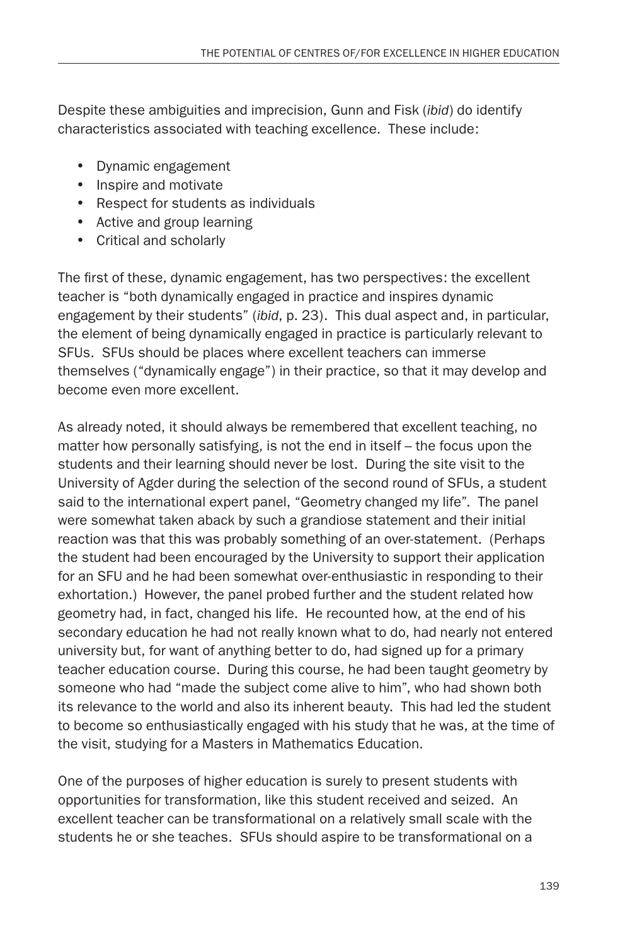Despite these ambiguities and imprecision, Gunn and Fisk (*ibid*) do identify characteristics associated with teaching excellence. These include:

- • Dynamic engagement
- Inspire and motivate
- • Respect for students as individuals
- Active and group learning
- • Critical and scholarly

The first of these, dynamic engagement, has two perspectives: the excellent teacher is "both dynamically engaged in practice and inspires dynamic engagement by their students" (*ibid*, p. 23). This dual aspect and, in particular, the element of being dynamically engaged in practice is particularly relevant to SFUs. SFUs should be places where excellent teachers can immerse themselves ("dynamically engage") in their practice, so that it may develop and become even more excellent.

As already noted, it should always be remembered that excellent teaching, no matter how personally satisfying, is not the end in itself – the focus upon the students and their learning should never be lost. During the site visit to the University of Agder during the selection of the second round of SFUs, a student said to the international expert panel, "Geometry changed my life". The panel were somewhat taken aback by such a grandiose statement and their initial reaction was that this was probably something of an over-statement. (Perhaps the student had been encouraged by the University to support their application for an SFU and he had been somewhat over-enthusiastic in responding to their exhortation.) However, the panel probed further and the student related how geometry had, in fact, changed his life. He recounted how, at the end of his secondary education he had not really known what to do, had nearly not entered university but, for want of anything better to do, had signed up for a primary teacher education course. During this course, he had been taught geometry by someone who had "made the subject come alive to him", who had shown both its relevance to the world and also its inherent beauty. This had led the student to become so enthusiastically engaged with his study that he was, at the time of the visit, studying for a Masters in Mathematics Education.

One of the purposes of higher education is surely to present students with opportunities for transformation, like this student received and seized. An excellent teacher can be transformational on a relatively small scale with the students he or she teaches. SFUs should aspire to be transformational on a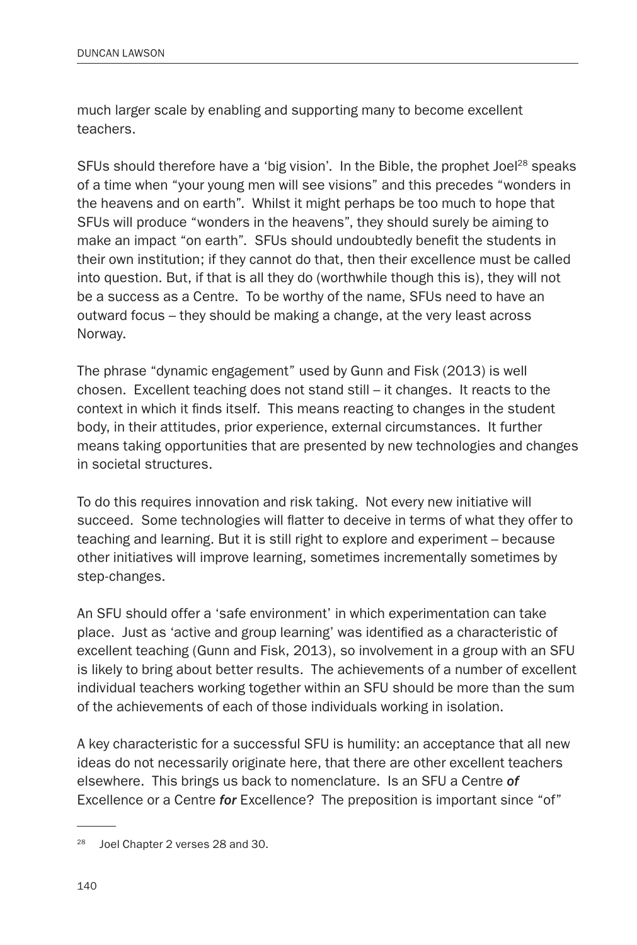much larger scale by enabling and supporting many to become excellent teachers.

SFUs should therefore have a 'big vision'. In the Bible, the prophet Joel<sup>28</sup> speaks of a time when "your young men will see visions" and this precedes "wonders in the heavens and on earth". Whilst it might perhaps be too much to hope that SFUs will produce "wonders in the heavens", they should surely be aiming to make an impact "on earth". SFUs should undoubtedly benefit the students in their own institution; if they cannot do that, then their excellence must be called into question. But, if that is all they do (worthwhile though this is), they will not be a success as a Centre. To be worthy of the name, SFUs need to have an outward focus – they should be making a change, at the very least across Norway.

The phrase "dynamic engagement" used by Gunn and Fisk (2013) is well chosen. Excellent teaching does not stand still – it changes. It reacts to the context in which it finds itself. This means reacting to changes in the student body, in their attitudes, prior experience, external circumstances. It further means taking opportunities that are presented by new technologies and changes in societal structures.

To do this requires innovation and risk taking. Not every new initiative will succeed. Some technologies will flatter to deceive in terms of what they offer to teaching and learning. But it is still right to explore and experiment – because other initiatives will improve learning, sometimes incrementally sometimes by step-changes.

An SFU should offer a 'safe environment' in which experimentation can take place. Just as 'active and group learning' was identified as a characteristic of excellent teaching (Gunn and Fisk, 2013), so involvement in a group with an SFU is likely to bring about better results. The achievements of a number of excellent individual teachers working together within an SFU should be more than the sum of the achievements of each of those individuals working in isolation.

A key characteristic for a successful SFU is humility: an acceptance that all new ideas do not necessarily originate here, that there are other excellent teachers elsewhere. This brings us back to nomenclature. Is an SFU a Centre *of* Excellence or a Centre *for* Excellence? The preposition is important since "of"

<sup>&</sup>lt;sup>28</sup> Joel Chapter 2 verses 28 and 30.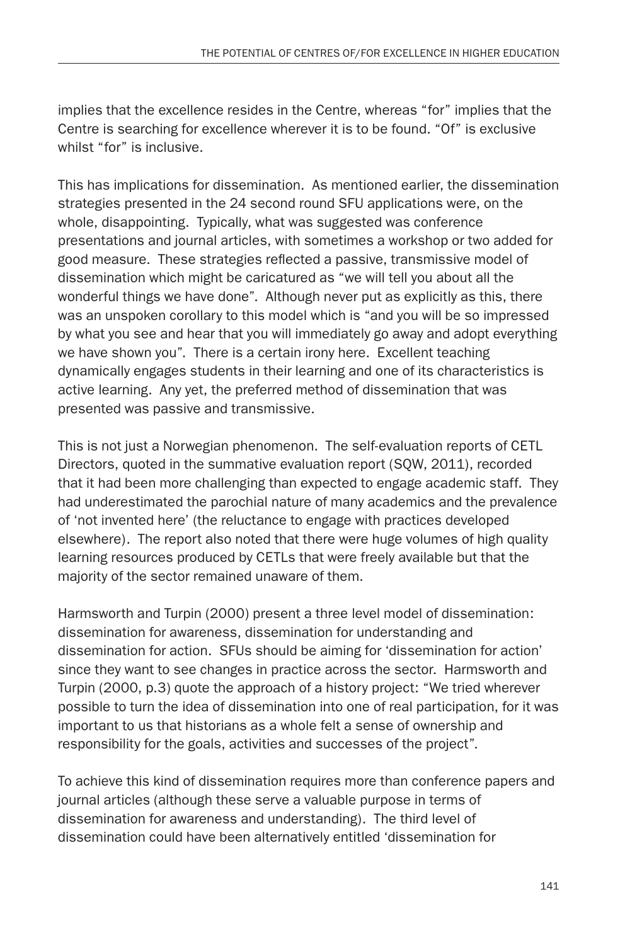implies that the excellence resides in the Centre, whereas "for" implies that the Centre is searching for excellence wherever it is to be found. "Of" is exclusive whilst "for" is inclusive.

This has implications for dissemination. As mentioned earlier, the dissemination strategies presented in the 24 second round SFU applications were, on the whole, disappointing. Typically, what was suggested was conference presentations and journal articles, with sometimes a workshop or two added for good measure. These strategies reflected a passive, transmissive model of dissemination which might be caricatured as "we will tell you about all the wonderful things we have done". Although never put as explicitly as this, there was an unspoken corollary to this model which is "and you will be so impressed by what you see and hear that you will immediately go away and adopt everything we have shown you". There is a certain irony here. Excellent teaching dynamically engages students in their learning and one of its characteristics is active learning. Any yet, the preferred method of dissemination that was presented was passive and transmissive.

This is not just a Norwegian phenomenon. The self-evaluation reports of CETL Directors, quoted in the summative evaluation report (SQW, 2011), recorded that it had been more challenging than expected to engage academic staff. They had underestimated the parochial nature of many academics and the prevalence of 'not invented here' (the reluctance to engage with practices developed elsewhere). The report also noted that there were huge volumes of high quality learning resources produced by CETLs that were freely available but that the majority of the sector remained unaware of them.

Harmsworth and Turpin (2000) present a three level model of dissemination: dissemination for awareness, dissemination for understanding and dissemination for action. SFUs should be aiming for 'dissemination for action' since they want to see changes in practice across the sector. Harmsworth and Turpin (2000, p.3) quote the approach of a history project: "We tried wherever possible to turn the idea of dissemination into one of real participation, for it was important to us that historians as a whole felt a sense of ownership and responsibility for the goals, activities and successes of the project".

To achieve this kind of dissemination requires more than conference papers and journal articles (although these serve a valuable purpose in terms of dissemination for awareness and understanding). The third level of dissemination could have been alternatively entitled 'dissemination for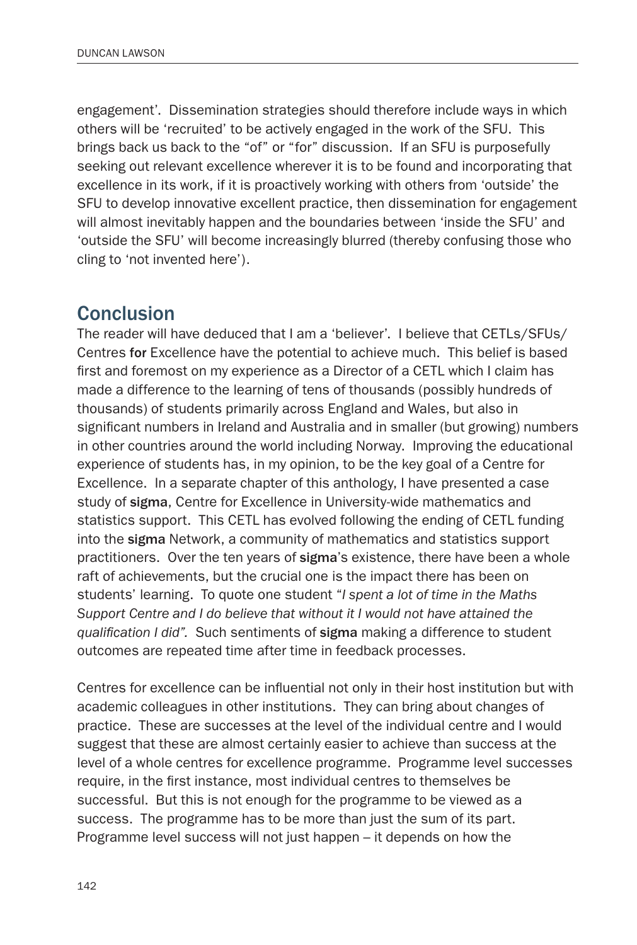engagement'. Dissemination strategies should therefore include ways in which others will be 'recruited' to be actively engaged in the work of the SFU. This brings back us back to the "of" or "for" discussion. If an SFU is purposefully seeking out relevant excellence wherever it is to be found and incorporating that excellence in its work, if it is proactively working with others from 'outside' the SFU to develop innovative excellent practice, then dissemination for engagement will almost inevitably happen and the boundaries between 'inside the SFU' and 'outside the SFU' will become increasingly blurred (thereby confusing those who cling to 'not invented here').

#### **Conclusion**

The reader will have deduced that I am a 'believer'. I believe that CETLs/SFUs/ Centres for Excellence have the potential to achieve much. This belief is based first and foremost on my experience as a Director of a CETL which I claim has made a difference to the learning of tens of thousands (possibly hundreds of thousands) of students primarily across England and Wales, but also in significant numbers in Ireland and Australia and in smaller (but growing) numbers in other countries around the world including Norway. Improving the educational experience of students has, in my opinion, to be the key goal of a Centre for Excellence. In a separate chapter of this anthology, I have presented a case study of sigma, Centre for Excellence in University-wide mathematics and statistics support. This CETL has evolved following the ending of CETL funding into the sigma Network, a community of mathematics and statistics support practitioners. Over the ten years of sigma's existence, there have been a whole raft of achievements, but the crucial one is the impact there has been on students' learning. To quote one student "*I spent a lot of time in the Maths Support Centre and I do believe that without it I would not have attained the qualification I did".* Such sentiments of sigma making a difference to student outcomes are repeated time after time in feedback processes.

Centres for excellence can be influential not only in their host institution but with academic colleagues in other institutions. They can bring about changes of practice. These are successes at the level of the individual centre and I would suggest that these are almost certainly easier to achieve than success at the level of a whole centres for excellence programme. Programme level successes require, in the first instance, most individual centres to themselves be successful. But this is not enough for the programme to be viewed as a success. The programme has to be more than just the sum of its part. Programme level success will not just happen – it depends on how the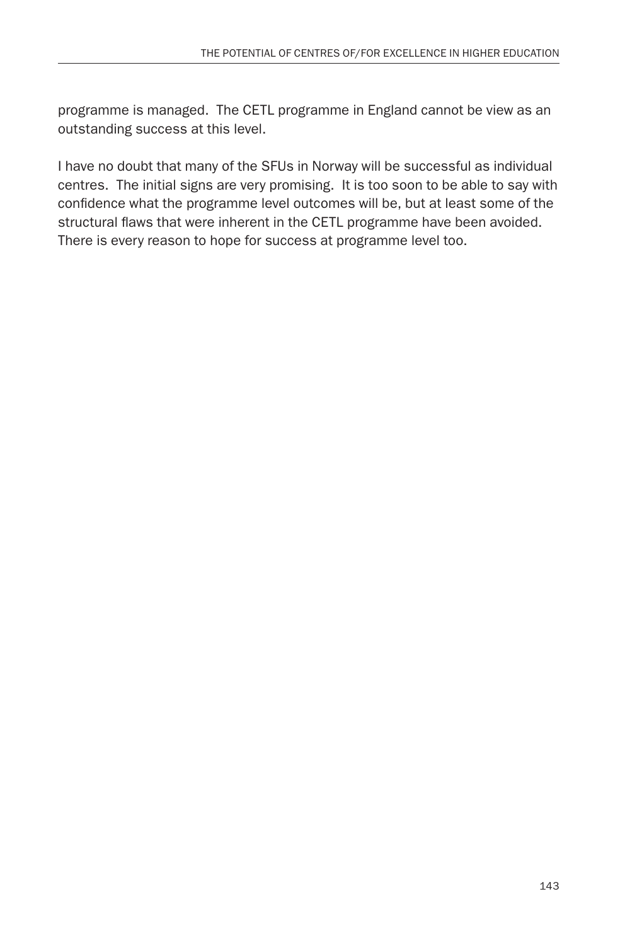programme is managed. The CETL programme in England cannot be view as an outstanding success at this level.

I have no doubt that many of the SFUs in Norway will be successful as individual centres. The initial signs are very promising. It is too soon to be able to say with confidence what the programme level outcomes will be, but at least some of the structural flaws that were inherent in the CETL programme have been avoided. There is every reason to hope for success at programme level too.